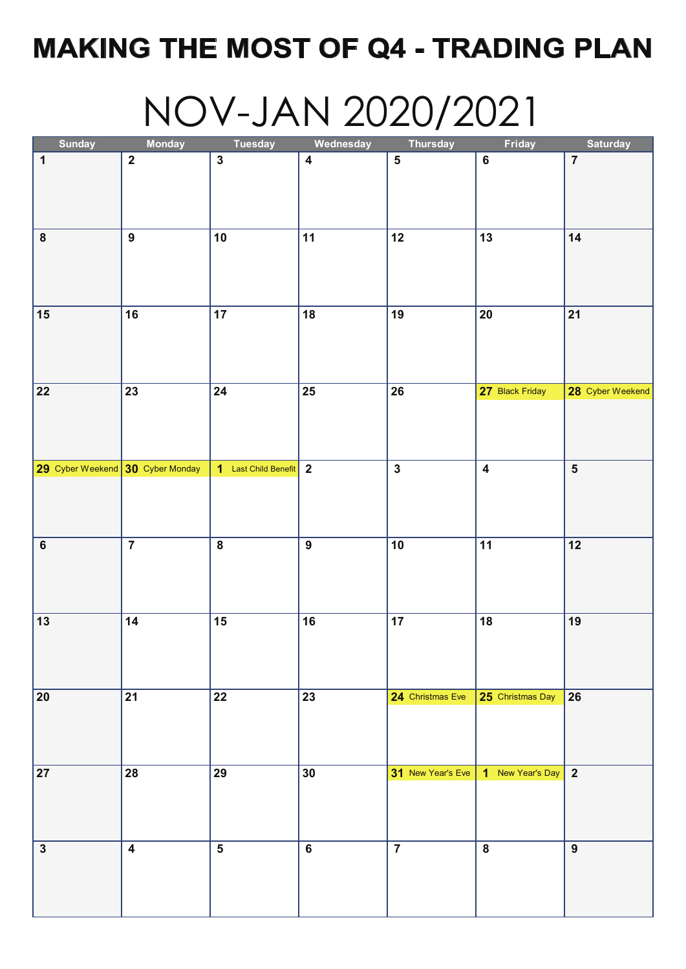# **MAKING THE MOST OF Q4 - TRADING PLAN**

# NOV-JAN 2020/2021

| <b>Sunday</b>                    | <b>Monday</b>    | <b>Tuesday</b>          | Wednesday               | <b>Thursday</b>   | Friday                  | <b>Saturday</b>         |
|----------------------------------|------------------|-------------------------|-------------------------|-------------------|-------------------------|-------------------------|
| $\mathbf 1$                      | $\mathbf{2}$     | $\mathbf{3}$            | $\overline{\mathbf{4}}$ | ${\bf 5}$         | $\bf 6$                 | $\overline{7}$          |
|                                  |                  |                         |                         |                   |                         |                         |
|                                  |                  |                         |                         |                   |                         |                         |
|                                  |                  |                         |                         |                   |                         |                         |
| $\pmb{8}$                        | $\boldsymbol{9}$ | 10                      | 11                      | 12                | 13                      | 14                      |
|                                  |                  |                         |                         |                   |                         |                         |
|                                  |                  |                         |                         |                   |                         |                         |
|                                  |                  |                         |                         |                   |                         |                         |
| 15                               | 16               | 17                      | 18                      | 19                | 20                      | 21                      |
|                                  |                  |                         |                         |                   |                         |                         |
|                                  |                  |                         |                         |                   |                         |                         |
|                                  |                  |                         |                         |                   |                         |                         |
|                                  |                  |                         |                         |                   | 27 Black Friday         |                         |
| 22                               | 23               | 24                      | 25                      | 26                |                         | 28 Cyber Weekend        |
|                                  |                  |                         |                         |                   |                         |                         |
|                                  |                  |                         |                         |                   |                         |                         |
|                                  |                  |                         |                         |                   |                         |                         |
| 29 Cyber Weekend 30 Cyber Monday |                  | 1 Last Child Benefit    | $\overline{\mathbf{2}}$ | $\mathbf{3}$      | $\overline{\mathbf{4}}$ | ${\bf 5}$               |
|                                  |                  |                         |                         |                   |                         |                         |
|                                  |                  |                         |                         |                   |                         |                         |
|                                  |                  |                         |                         |                   |                         |                         |
| $\bf 6$                          | $\overline{7}$   | $\pmb{8}$               | $\boldsymbol{9}$        | 10                | 11                      | 12                      |
|                                  |                  |                         |                         |                   |                         |                         |
|                                  |                  |                         |                         |                   |                         |                         |
|                                  |                  |                         |                         |                   |                         |                         |
| $13$                             | 14               | 15                      | 16                      | 17                | 18                      | 19                      |
|                                  |                  |                         |                         |                   |                         |                         |
|                                  |                  |                         |                         |                   |                         |                         |
|                                  |                  |                         |                         |                   |                         |                         |
| ${\bf 20}$                       | 21               | 22                      | 23                      | 24 Christmas Eve  | 25 Christmas Day 26     |                         |
|                                  |                  |                         |                         |                   |                         |                         |
|                                  |                  |                         |                         |                   |                         |                         |
|                                  |                  |                         |                         |                   |                         |                         |
| 27                               | 28               | 29                      | 30                      | 31 New Year's Eve | 1 New Year's Day        | $\overline{\mathbf{2}}$ |
|                                  |                  |                         |                         |                   |                         |                         |
|                                  |                  |                         |                         |                   |                         |                         |
|                                  |                  |                         |                         |                   |                         |                         |
| $\mathbf 3$                      | $\boldsymbol{4}$ | $\overline{\mathbf{5}}$ | $\bf 6$                 | $\overline{7}$    | $\bf 8$                 | $9$                     |
|                                  |                  |                         |                         |                   |                         |                         |
|                                  |                  |                         |                         |                   |                         |                         |
|                                  |                  |                         |                         |                   |                         |                         |
|                                  |                  |                         |                         |                   |                         |                         |